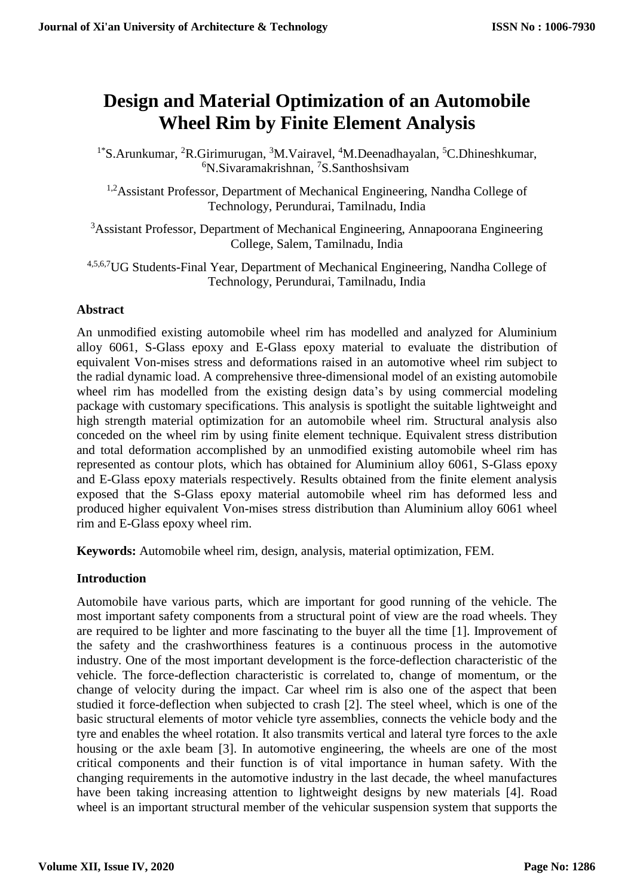# **Design and Material Optimization of an Automobile Wheel Rim by Finite Element Analysis**

<sup>1\*</sup>S.Arunkumar, <sup>2</sup>R.Girimurugan, <sup>3</sup>M.Vairavel, <sup>4</sup>M.Deenadhayalan, <sup>5</sup>C.Dhineshkumar, <sup>6</sup>N.Sivaramakrishnan, <sup>7</sup>S.Santhoshsivam

<sup>1,2</sup>Assistant Professor, Department of Mechanical Engineering, Nandha College of Technology, Perundurai, Tamilnadu, India

<sup>3</sup>Assistant Professor, Department of Mechanical Engineering, Annapoorana Engineering College, Salem, Tamilnadu, India

4,5,6,7UG Students-Final Year, Department of Mechanical Engineering, Nandha College of Technology, Perundurai, Tamilnadu, India

## **Abstract**

An unmodified existing automobile wheel rim has modelled and analyzed for Aluminium alloy 6061, S-Glass epoxy and E-Glass epoxy material to evaluate the distribution of equivalent Von-mises stress and deformations raised in an automotive wheel rim subject to the radial dynamic load. A comprehensive three-dimensional model of an existing automobile wheel rim has modelled from the existing design data's by using commercial modeling package with customary specifications. This analysis is spotlight the suitable lightweight and high strength material optimization for an automobile wheel rim. Structural analysis also conceded on the wheel rim by using finite element technique. Equivalent stress distribution and total deformation accomplished by an unmodified existing automobile wheel rim has represented as contour plots, which has obtained for Aluminium alloy 6061, S-Glass epoxy and E-Glass epoxy materials respectively. Results obtained from the finite element analysis exposed that the S-Glass epoxy material automobile wheel rim has deformed less and produced higher equivalent Von-mises stress distribution than Aluminium alloy 6061 wheel rim and E-Glass epoxy wheel rim.

**Keywords:** Automobile wheel rim, design, analysis, material optimization, FEM.

## **Introduction**

Automobile have various parts, which are important for good running of the vehicle. The most important safety components from a structural point of view are the road wheels. They are required to be lighter and more fascinating to the buyer all the time [1]. Improvement of the safety and the crashworthiness features is a continuous process in the automotive industry. One of the most important development is the force-deflection characteristic of the vehicle. The force-deflection characteristic is correlated to, change of momentum, or the change of velocity during the impact. Car wheel rim is also one of the aspect that been studied it force-deflection when subjected to crash [2]. The steel wheel, which is one of the basic structural elements of motor vehicle tyre assemblies, connects the vehicle body and the tyre and enables the wheel rotation. It also transmits vertical and lateral tyre forces to the axle housing or the axle beam [3]. In automotive engineering, the wheels are one of the most critical components and their function is of vital importance in human safety. With the changing requirements in the automotive industry in the last decade, the wheel manufactures have been taking increasing attention to lightweight designs by new materials [4]. Road wheel is an important structural member of the vehicular suspension system that supports the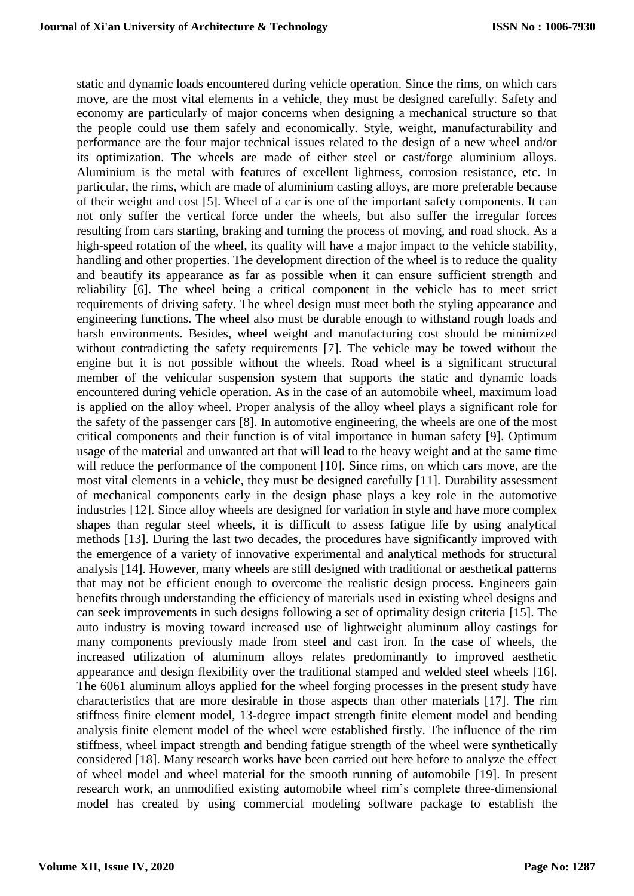static and dynamic loads encountered during vehicle operation. Since the rims, on which cars move, are the most vital elements in a vehicle, they must be designed carefully. Safety and economy are particularly of major concerns when designing a mechanical structure so that the people could use them safely and economically. Style, weight, manufacturability and performance are the four major technical issues related to the design of a new wheel and/or its optimization. The wheels are made of either steel or cast/forge aluminium alloys. Aluminium is the metal with features of excellent lightness, corrosion resistance, etc. In particular, the rims, which are made of aluminium casting alloys, are more preferable because of their weight and cost [5]. Wheel of a car is one of the important safety components. It can not only suffer the vertical force under the wheels, but also suffer the irregular forces resulting from cars starting, braking and turning the process of moving, and road shock. As a high-speed rotation of the wheel, its quality will have a major impact to the vehicle stability, handling and other properties. The development direction of the wheel is to reduce the quality and beautify its appearance as far as possible when it can ensure sufficient strength and reliability [6]. The wheel being a critical component in the vehicle has to meet strict requirements of driving safety. The wheel design must meet both the styling appearance and engineering functions. The wheel also must be durable enough to withstand rough loads and harsh environments. Besides, wheel weight and manufacturing cost should be minimized without contradicting the safety requirements [7]. The vehicle may be towed without the engine but it is not possible without the wheels. Road wheel is a significant structural member of the vehicular suspension system that supports the static and dynamic loads encountered during vehicle operation. As in the case of an automobile wheel, maximum load is applied on the alloy wheel. Proper analysis of the alloy wheel plays a significant role for the safety of the passenger cars [8]. In automotive engineering, the wheels are one of the most critical components and their function is of vital importance in human safety [9]. Optimum usage of the material and unwanted art that will lead to the heavy weight and at the same time will reduce the performance of the component [10]. Since rims, on which cars move, are the most vital elements in a vehicle, they must be designed carefully [11]. Durability assessment of mechanical components early in the design phase plays a key role in the automotive industries [12]. Since alloy wheels are designed for variation in style and have more complex shapes than regular steel wheels, it is difficult to assess fatigue life by using analytical methods [13]. During the last two decades, the procedures have significantly improved with the emergence of a variety of innovative experimental and analytical methods for structural analysis [14]. However, many wheels are still designed with traditional or aesthetical patterns that may not be efficient enough to overcome the realistic design process. Engineers gain benefits through understanding the efficiency of materials used in existing wheel designs and can seek improvements in such designs following a set of optimality design criteria [15]. The auto industry is moving toward increased use of lightweight aluminum alloy castings for many components previously made from steel and cast iron. In the case of wheels, the increased utilization of aluminum alloys relates predominantly to improved aesthetic appearance and design flexibility over the traditional stamped and welded steel wheels [16]. The 6061 aluminum alloys applied for the wheel forging processes in the present study have characteristics that are more desirable in those aspects than other materials [17]. The rim stiffness finite element model, 13-degree impact strength finite element model and bending analysis finite element model of the wheel were established firstly. The influence of the rim stiffness, wheel impact strength and bending fatigue strength of the wheel were synthetically considered [18]. Many research works have been carried out here before to analyze the effect of wheel model and wheel material for the smooth running of automobile [19]. In present research work, an unmodified existing automobile wheel rim's complete three-dimensional model has created by using commercial modeling software package to establish the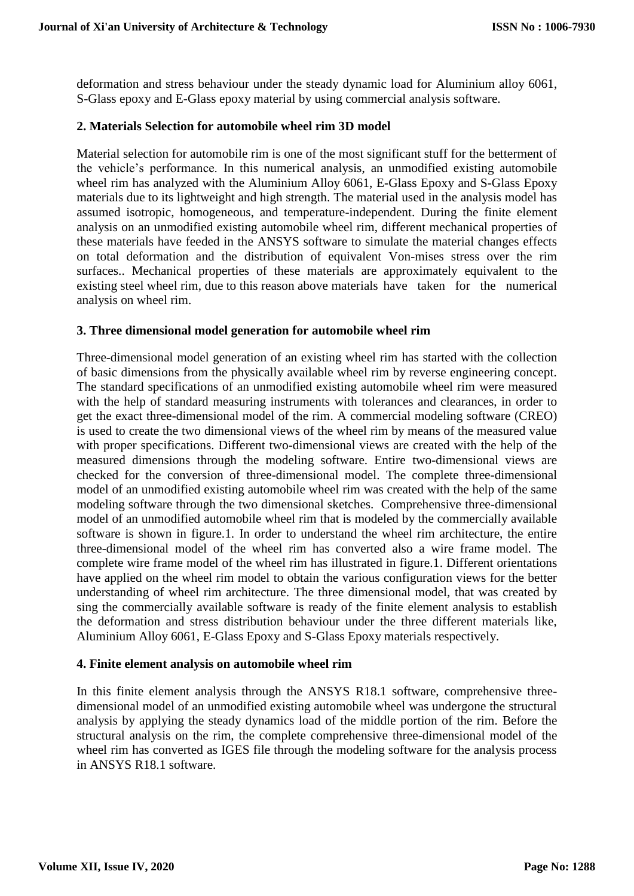deformation and stress behaviour under the steady dynamic load for Aluminium alloy 6061, S-Glass epoxy and E-Glass epoxy material by using commercial analysis software.

## **2. Materials Selection for automobile wheel rim 3D model**

Material selection for automobile rim is one of the most significant stuff for the betterment of the vehicle's performance. In this numerical analysis, an unmodified existing automobile wheel rim has analyzed with the Aluminium Alloy 6061, E-Glass Epoxy and S-Glass Epoxy materials due to its lightweight and high strength. The material used in the analysis model has assumed isotropic, homogeneous, and temperature-independent. During the finite element analysis on an unmodified existing automobile wheel rim, different mechanical properties of these materials have feeded in the ANSYS software to simulate the material changes effects on total deformation and the distribution of equivalent Von-mises stress over the rim surfaces.. Mechanical properties of these materials are approximately equivalent to the existing steel wheel rim, due to this reason above materials have taken for the numerical analysis on wheel rim.

#### **3. Three dimensional model generation for automobile wheel rim**

Three-dimensional model generation of an existing wheel rim has started with the collection of basic dimensions from the physically available wheel rim by reverse engineering concept. The standard specifications of an unmodified existing automobile wheel rim were measured with the help of standard measuring instruments with tolerances and clearances, in order to get the exact three-dimensional model of the rim. A commercial modeling software (CREO) is used to create the two dimensional views of the wheel rim by means of the measured value with proper specifications. Different two-dimensional views are created with the help of the measured dimensions through the modeling software. Entire two-dimensional views are checked for the conversion of three-dimensional model. The complete three-dimensional model of an unmodified existing automobile wheel rim was created with the help of the same modeling software through the two dimensional sketches. Comprehensive three-dimensional model of an unmodified automobile wheel rim that is modeled by the commercially available software is shown in figure.1. In order to understand the wheel rim architecture, the entire three-dimensional model of the wheel rim has converted also a wire frame model. The complete wire frame model of the wheel rim has illustrated in figure.1. Different orientations have applied on the wheel rim model to obtain the various configuration views for the better understanding of wheel rim architecture. The three dimensional model, that was created by sing the commercially available software is ready of the finite element analysis to establish the deformation and stress distribution behaviour under the three different materials like, Aluminium Alloy 6061, E-Glass Epoxy and S-Glass Epoxy materials respectively.

#### **4. Finite element analysis on automobile wheel rim**

In this finite element analysis through the ANSYS R18.1 software, comprehensive threedimensional model of an unmodified existing automobile wheel was undergone the structural analysis by applying the steady dynamics load of the middle portion of the rim. Before the structural analysis on the rim, the complete comprehensive three-dimensional model of the wheel rim has converted as IGES file through the modeling software for the analysis process in ANSYS R18.1 software.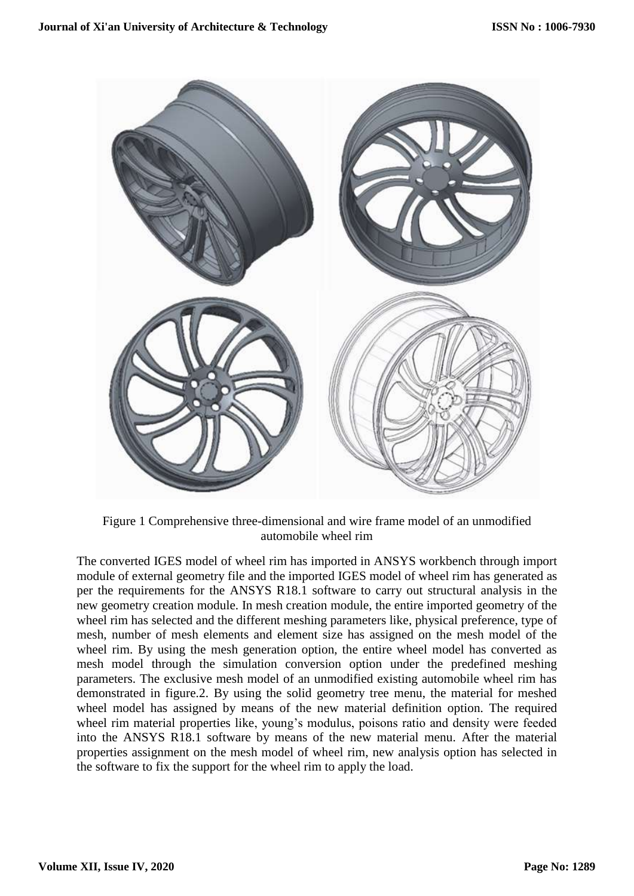

Figure 1 Comprehensive three-dimensional and wire frame model of an unmodified automobile wheel rim

The converted IGES model of wheel rim has imported in ANSYS workbench through import module of external geometry file and the imported IGES model of wheel rim has generated as per the requirements for the ANSYS R18.1 software to carry out structural analysis in the new geometry creation module. In mesh creation module, the entire imported geometry of the wheel rim has selected and the different meshing parameters like, physical preference, type of mesh, number of mesh elements and element size has assigned on the mesh model of the wheel rim. By using the mesh generation option, the entire wheel model has converted as mesh model through the simulation conversion option under the predefined meshing parameters. The exclusive mesh model of an unmodified existing automobile wheel rim has demonstrated in figure.2. By using the solid geometry tree menu, the material for meshed wheel model has assigned by means of the new material definition option. The required wheel rim material properties like, young's modulus, poisons ratio and density were feeded into the ANSYS R18.1 software by means of the new material menu. After the material properties assignment on the mesh model of wheel rim, new analysis option has selected in the software to fix the support for the wheel rim to apply the load.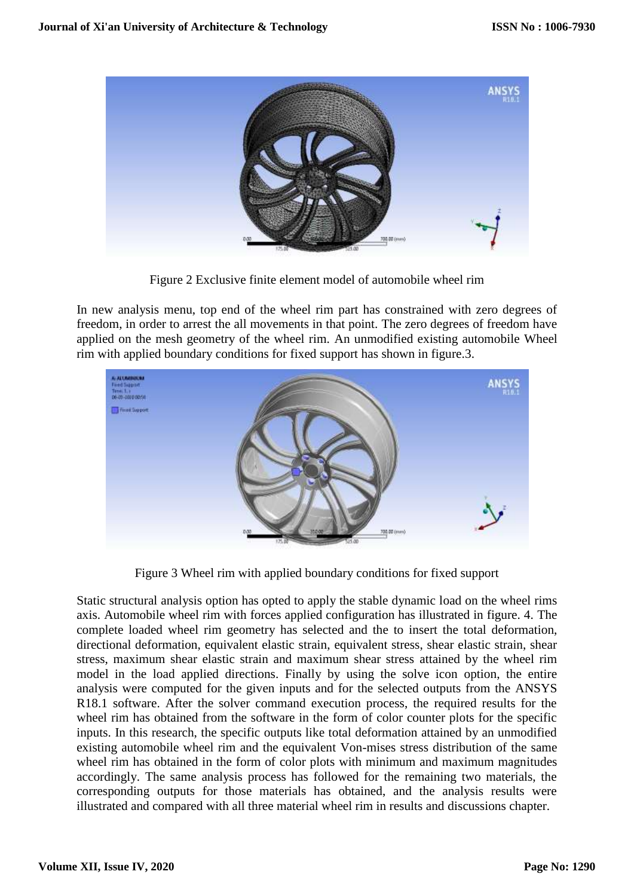

Figure 2 Exclusive finite element model of automobile wheel rim

In new analysis menu, top end of the wheel rim part has constrained with zero degrees of freedom, in order to arrest the all movements in that point. The zero degrees of freedom have applied on the mesh geometry of the wheel rim. An unmodified existing automobile Wheel rim with applied boundary conditions for fixed support has shown in figure.3.



Figure 3 Wheel rim with applied boundary conditions for fixed support

Static structural analysis option has opted to apply the stable dynamic load on the wheel rims axis. Automobile wheel rim with forces applied configuration has illustrated in figure. 4. The complete loaded wheel rim geometry has selected and the to insert the total deformation, directional deformation, equivalent elastic strain, equivalent stress, shear elastic strain, shear stress, maximum shear elastic strain and maximum shear stress attained by the wheel rim model in the load applied directions. Finally by using the solve icon option, the entire analysis were computed for the given inputs and for the selected outputs from the ANSYS R18.1 software. After the solver command execution process, the required results for the wheel rim has obtained from the software in the form of color counter plots for the specific inputs. In this research, the specific outputs like total deformation attained by an unmodified existing automobile wheel rim and the equivalent Von-mises stress distribution of the same wheel rim has obtained in the form of color plots with minimum and maximum magnitudes accordingly. The same analysis process has followed for the remaining two materials, the corresponding outputs for those materials has obtained, and the analysis results were illustrated and compared with all three material wheel rim in results and discussions chapter.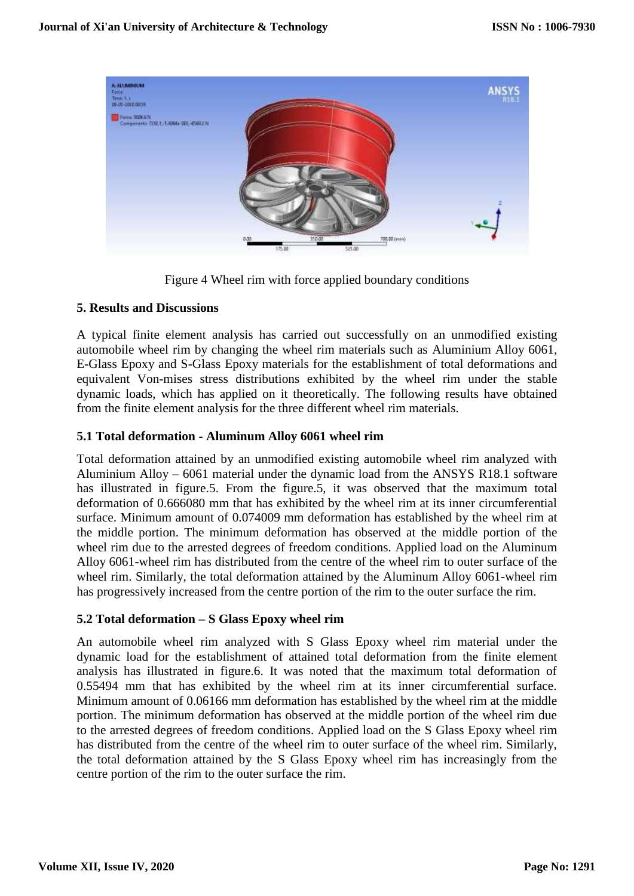

Figure 4 Wheel rim with force applied boundary conditions

## **5. Results and Discussions**

A typical finite element analysis has carried out successfully on an unmodified existing automobile wheel rim by changing the wheel rim materials such as Aluminium Alloy 6061, E-Glass Epoxy and S-Glass Epoxy materials for the establishment of total deformations and equivalent Von-mises stress distributions exhibited by the wheel rim under the stable dynamic loads, which has applied on it theoretically. The following results have obtained from the finite element analysis for the three different wheel rim materials.

## **5.1 Total deformation - Aluminum Alloy 6061 wheel rim**

Total deformation attained by an unmodified existing automobile wheel rim analyzed with Aluminium Alloy – 6061 material under the dynamic load from the ANSYS R18.1 software has illustrated in figure.5. From the figure.5, it was observed that the maximum total deformation of 0.666080 mm that has exhibited by the wheel rim at its inner circumferential surface. Minimum amount of 0.074009 mm deformation has established by the wheel rim at the middle portion. The minimum deformation has observed at the middle portion of the wheel rim due to the arrested degrees of freedom conditions. Applied load on the Aluminum Alloy 6061-wheel rim has distributed from the centre of the wheel rim to outer surface of the wheel rim. Similarly, the total deformation attained by the Aluminum Alloy 6061-wheel rim has progressively increased from the centre portion of the rim to the outer surface the rim.

## **5.2 Total deformation – S Glass Epoxy wheel rim**

An automobile wheel rim analyzed with S Glass Epoxy wheel rim material under the dynamic load for the establishment of attained total deformation from the finite element analysis has illustrated in figure.6. It was noted that the maximum total deformation of 0.55494 mm that has exhibited by the wheel rim at its inner circumferential surface. Minimum amount of 0.06166 mm deformation has established by the wheel rim at the middle portion. The minimum deformation has observed at the middle portion of the wheel rim due to the arrested degrees of freedom conditions. Applied load on the S Glass Epoxy wheel rim has distributed from the centre of the wheel rim to outer surface of the wheel rim. Similarly, the total deformation attained by the S Glass Epoxy wheel rim has increasingly from the centre portion of the rim to the outer surface the rim.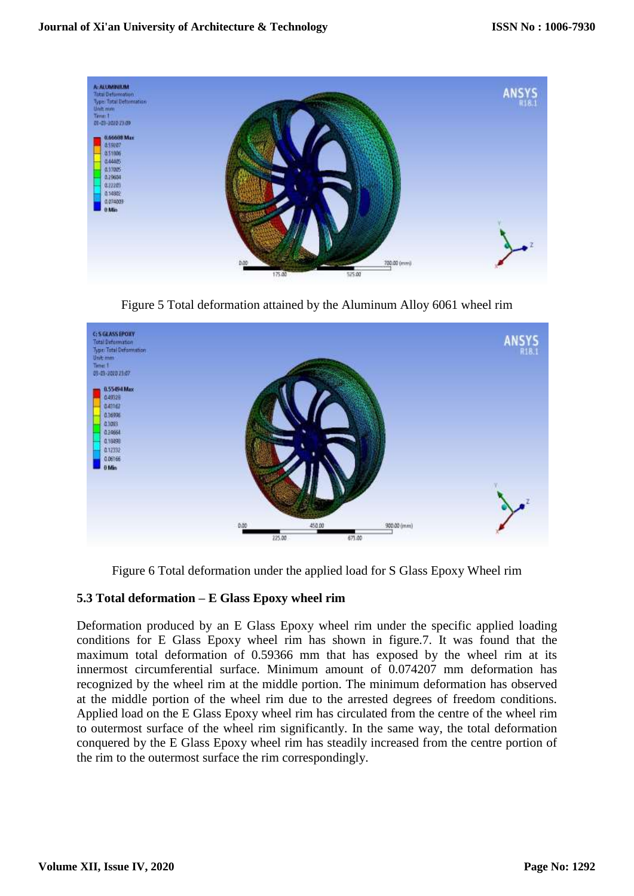

Figure 5 Total deformation attained by the Aluminum Alloy 6061 wheel rim



Figure 6 Total deformation under the applied load for S Glass Epoxy Wheel rim

# **5.3 Total deformation – E Glass Epoxy wheel rim**

Deformation produced by an E Glass Epoxy wheel rim under the specific applied loading conditions for E Glass Epoxy wheel rim has shown in figure.7. It was found that the maximum total deformation of 0.59366 mm that has exposed by the wheel rim at its innermost circumferential surface. Minimum amount of 0.074207 mm deformation has recognized by the wheel rim at the middle portion. The minimum deformation has observed at the middle portion of the wheel rim due to the arrested degrees of freedom conditions. Applied load on the E Glass Epoxy wheel rim has circulated from the centre of the wheel rim to outermost surface of the wheel rim significantly. In the same way, the total deformation conquered by the E Glass Epoxy wheel rim has steadily increased from the centre portion of the rim to the outermost surface the rim correspondingly.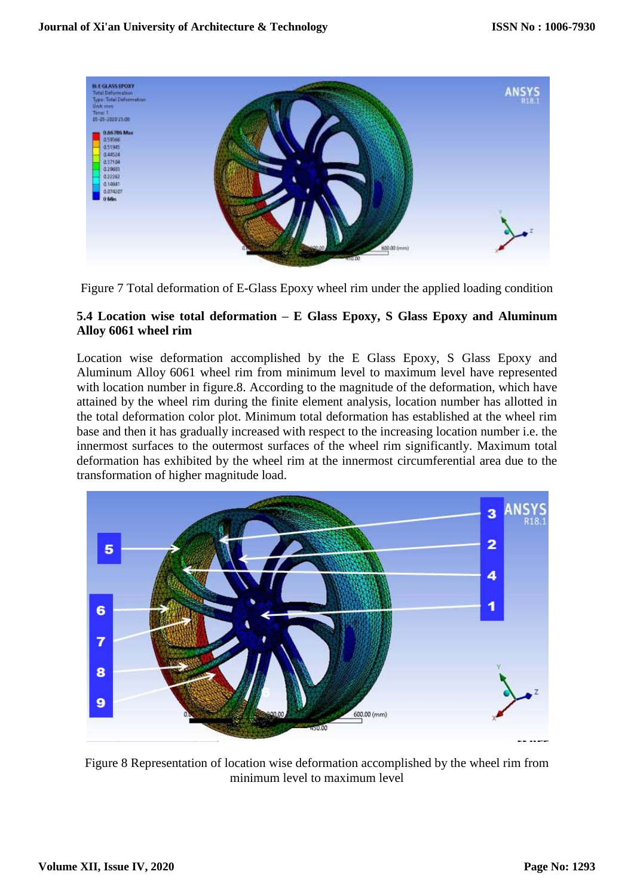

Figure 7 Total deformation of E-Glass Epoxy wheel rim under the applied loading condition

# **5.4 Location wise total deformation – E Glass Epoxy, S Glass Epoxy and Aluminum Alloy 6061 wheel rim**

Location wise deformation accomplished by the E Glass Epoxy, S Glass Epoxy and Aluminum Alloy 6061 wheel rim from minimum level to maximum level have represented with location number in figure.8. According to the magnitude of the deformation, which have attained by the wheel rim during the finite element analysis, location number has allotted in the total deformation color plot. Minimum total deformation has established at the wheel rim base and then it has gradually increased with respect to the increasing location number i.e. the innermost surfaces to the outermost surfaces of the wheel rim significantly. Maximum total deformation has exhibited by the wheel rim at the innermost circumferential area due to the transformation of higher magnitude load.



Figure 8 Representation of location wise deformation accomplished by the wheel rim from minimum level to maximum level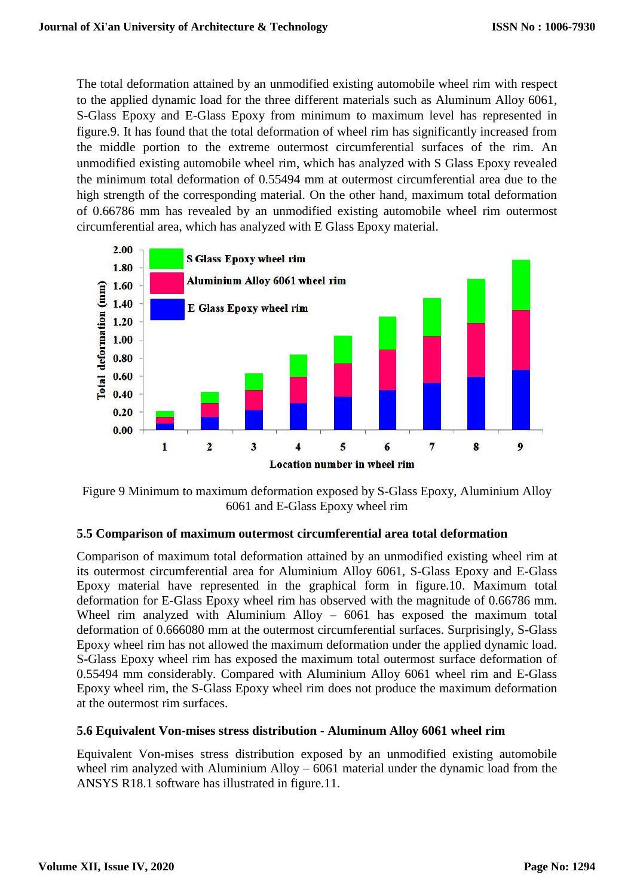The total deformation attained by an unmodified existing automobile wheel rim with respect to the applied dynamic load for the three different materials such as Aluminum Alloy 6061, S-Glass Epoxy and E-Glass Epoxy from minimum to maximum level has represented in figure.9. It has found that the total deformation of wheel rim has significantly increased from the middle portion to the extreme outermost circumferential surfaces of the rim. An unmodified existing automobile wheel rim, which has analyzed with S Glass Epoxy revealed the minimum total deformation of 0.55494 mm at outermost circumferential area due to the high strength of the corresponding material. On the other hand, maximum total deformation of 0.66786 mm has revealed by an unmodified existing automobile wheel rim outermost circumferential area, which has analyzed with E Glass Epoxy material.



Figure 9 Minimum to maximum deformation exposed by S-Glass Epoxy, Aluminium Alloy 6061 and E-Glass Epoxy wheel rim

## **5.5 Comparison of maximum outermost circumferential area total deformation**

Comparison of maximum total deformation attained by an unmodified existing wheel rim at its outermost circumferential area for Aluminium Alloy 6061, S-Glass Epoxy and E-Glass Epoxy material have represented in the graphical form in figure.10. Maximum total deformation for E-Glass Epoxy wheel rim has observed with the magnitude of 0.66786 mm. Wheel rim analyzed with Aluminium Alloy – 6061 has exposed the maximum total deformation of 0.666080 mm at the outermost circumferential surfaces. Surprisingly, S-Glass Epoxy wheel rim has not allowed the maximum deformation under the applied dynamic load. S-Glass Epoxy wheel rim has exposed the maximum total outermost surface deformation of 0.55494 mm considerably. Compared with Aluminium Alloy 6061 wheel rim and E-Glass Epoxy wheel rim, the S-Glass Epoxy wheel rim does not produce the maximum deformation at the outermost rim surfaces.

## **5.6 Equivalent Von-mises stress distribution - Aluminum Alloy 6061 wheel rim**

Equivalent Von-mises stress distribution exposed by an unmodified existing automobile wheel rim analyzed with Aluminium Alloy – 6061 material under the dynamic load from the ANSYS R18.1 software has illustrated in figure.11.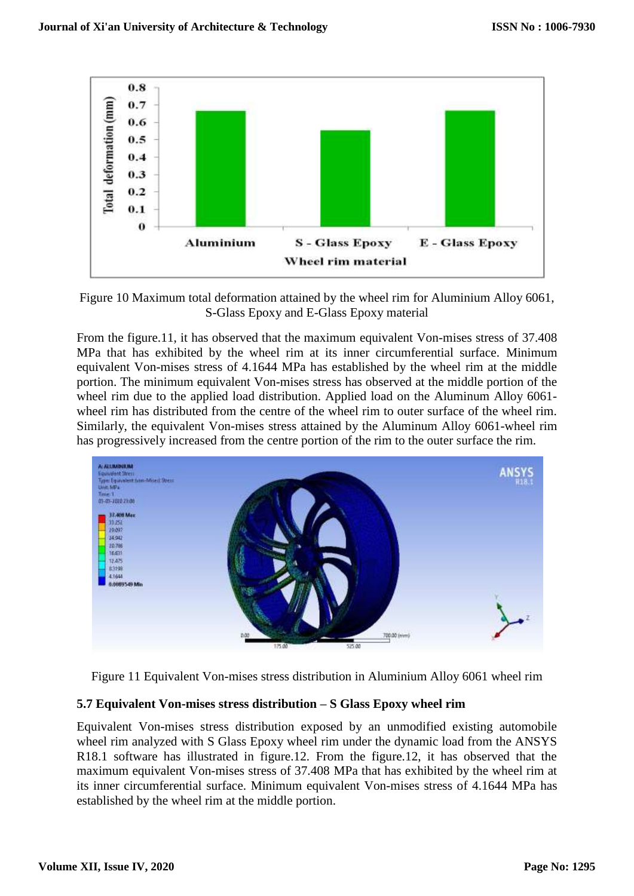

Figure 10 Maximum total deformation attained by the wheel rim for Aluminium Alloy 6061, S-Glass Epoxy and E-Glass Epoxy material

From the figure.11, it has observed that the maximum equivalent Von-mises stress of 37.408 MPa that has exhibited by the wheel rim at its inner circumferential surface. Minimum equivalent Von-mises stress of 4.1644 MPa has established by the wheel rim at the middle portion. The minimum equivalent Von-mises stress has observed at the middle portion of the wheel rim due to the applied load distribution. Applied load on the Aluminum Alloy 6061 wheel rim has distributed from the centre of the wheel rim to outer surface of the wheel rim. Similarly, the equivalent Von-mises stress attained by the Aluminum Alloy 6061-wheel rim has progressively increased from the centre portion of the rim to the outer surface the rim.



Figure 11 Equivalent Von-mises stress distribution in Aluminium Alloy 6061 wheel rim

## **5.7 Equivalent Von-mises stress distribution – S Glass Epoxy wheel rim**

Equivalent Von-mises stress distribution exposed by an unmodified existing automobile wheel rim analyzed with S Glass Epoxy wheel rim under the dynamic load from the ANSYS R18.1 software has illustrated in figure.12. From the figure.12, it has observed that the maximum equivalent Von-mises stress of 37.408 MPa that has exhibited by the wheel rim at its inner circumferential surface. Minimum equivalent Von-mises stress of 4.1644 MPa has established by the wheel rim at the middle portion.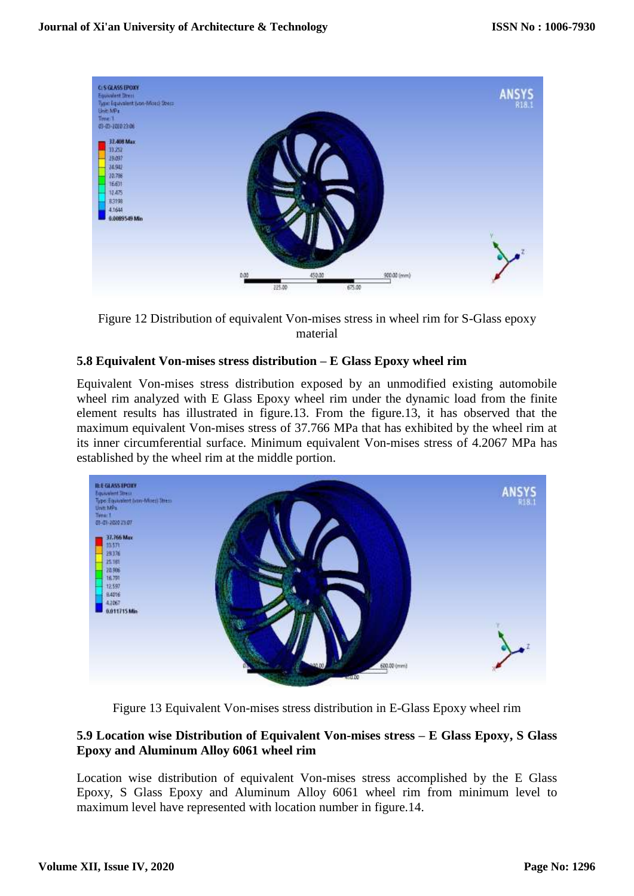

Figure 12 Distribution of equivalent Von-mises stress in wheel rim for S-Glass epoxy material

#### **5.8 Equivalent Von-mises stress distribution – E Glass Epoxy wheel rim**

Equivalent Von-mises stress distribution exposed by an unmodified existing automobile wheel rim analyzed with E Glass Epoxy wheel rim under the dynamic load from the finite element results has illustrated in figure.13. From the figure.13, it has observed that the maximum equivalent Von-mises stress of 37.766 MPa that has exhibited by the wheel rim at its inner circumferential surface. Minimum equivalent Von-mises stress of 4.2067 MPa has established by the wheel rim at the middle portion.



Figure 13 Equivalent Von-mises stress distribution in E-Glass Epoxy wheel rim

## **5.9 Location wise Distribution of Equivalent Von-mises stress – E Glass Epoxy, S Glass Epoxy and Aluminum Alloy 6061 wheel rim**

Location wise distribution of equivalent Von-mises stress accomplished by the E Glass Epoxy, S Glass Epoxy and Aluminum Alloy 6061 wheel rim from minimum level to maximum level have represented with location number in figure.14.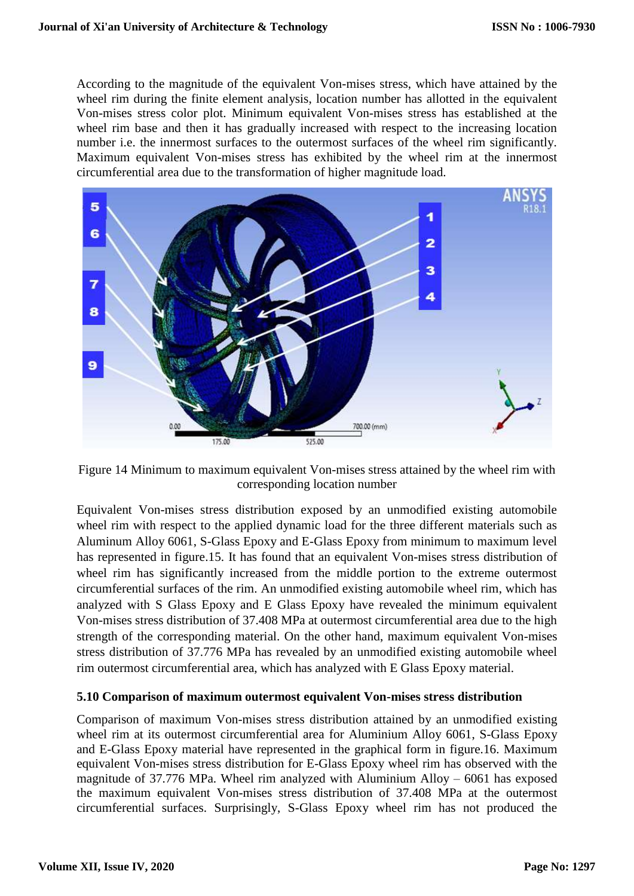According to the magnitude of the equivalent Von-mises stress, which have attained by the wheel rim during the finite element analysis, location number has allotted in the equivalent Von-mises stress color plot. Minimum equivalent Von-mises stress has established at the wheel rim base and then it has gradually increased with respect to the increasing location number i.e. the innermost surfaces to the outermost surfaces of the wheel rim significantly. Maximum equivalent Von-mises stress has exhibited by the wheel rim at the innermost circumferential area due to the transformation of higher magnitude load.



Figure 14 Minimum to maximum equivalent Von-mises stress attained by the wheel rim with corresponding location number

Equivalent Von-mises stress distribution exposed by an unmodified existing automobile wheel rim with respect to the applied dynamic load for the three different materials such as Aluminum Alloy 6061, S-Glass Epoxy and E-Glass Epoxy from minimum to maximum level has represented in figure.15. It has found that an equivalent Von-mises stress distribution of wheel rim has significantly increased from the middle portion to the extreme outermost circumferential surfaces of the rim. An unmodified existing automobile wheel rim, which has analyzed with S Glass Epoxy and E Glass Epoxy have revealed the minimum equivalent Von-mises stress distribution of 37.408 MPa at outermost circumferential area due to the high strength of the corresponding material. On the other hand, maximum equivalent Von-mises stress distribution of 37.776 MPa has revealed by an unmodified existing automobile wheel rim outermost circumferential area, which has analyzed with E Glass Epoxy material.

## **5.10 Comparison of maximum outermost equivalent Von-mises stress distribution**

Comparison of maximum Von-mises stress distribution attained by an unmodified existing wheel rim at its outermost circumferential area for Aluminium Alloy 6061, S-Glass Epoxy and E-Glass Epoxy material have represented in the graphical form in figure.16. Maximum equivalent Von-mises stress distribution for E-Glass Epoxy wheel rim has observed with the magnitude of 37.776 MPa. Wheel rim analyzed with Aluminium Alloy – 6061 has exposed the maximum equivalent Von-mises stress distribution of 37.408 MPa at the outermost circumferential surfaces. Surprisingly, S-Glass Epoxy wheel rim has not produced the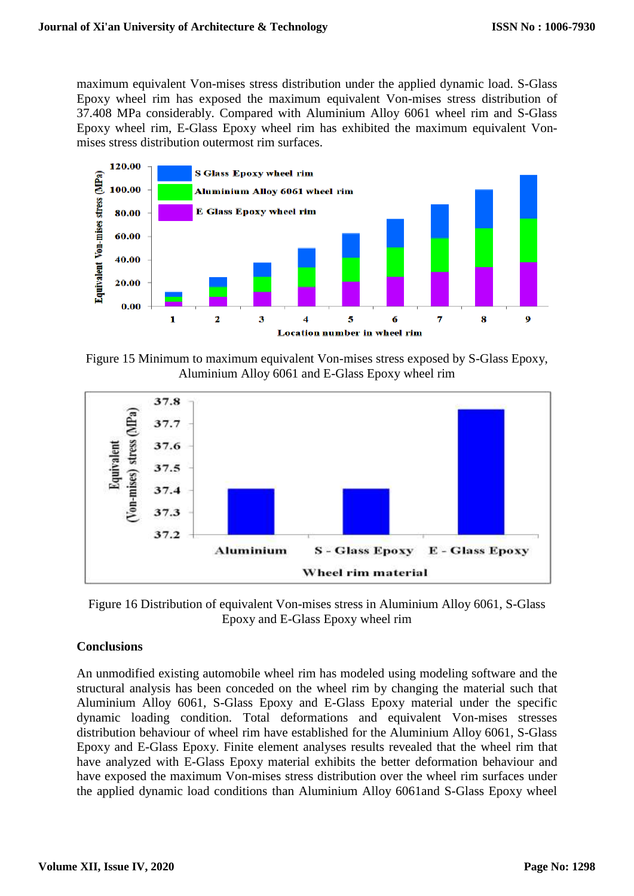maximum equivalent Von-mises stress distribution under the applied dynamic load. S-Glass Epoxy wheel rim has exposed the maximum equivalent Von-mises stress distribution of 37.408 MPa considerably. Compared with Aluminium Alloy 6061 wheel rim and S-Glass Epoxy wheel rim, E-Glass Epoxy wheel rim has exhibited the maximum equivalent Vonmises stress distribution outermost rim surfaces.



Figure 15 Minimum to maximum equivalent Von-mises stress exposed by S-Glass Epoxy, Aluminium Alloy 6061 and E-Glass Epoxy wheel rim



Figure 16 Distribution of equivalent Von-mises stress in Aluminium Alloy 6061, S-Glass Epoxy and E-Glass Epoxy wheel rim

## **Conclusions**

An unmodified existing automobile wheel rim has modeled using modeling software and the structural analysis has been conceded on the wheel rim by changing the material such that Aluminium Alloy 6061, S-Glass Epoxy and E-Glass Epoxy material under the specific dynamic loading condition. Total deformations and equivalent Von-mises stresses distribution behaviour of wheel rim have established for the Aluminium Alloy 6061, S-Glass Epoxy and E-Glass Epoxy. Finite element analyses results revealed that the wheel rim that have analyzed with E-Glass Epoxy material exhibits the better deformation behaviour and have exposed the maximum Von-mises stress distribution over the wheel rim surfaces under the applied dynamic load conditions than Aluminium Alloy 6061and S-Glass Epoxy wheel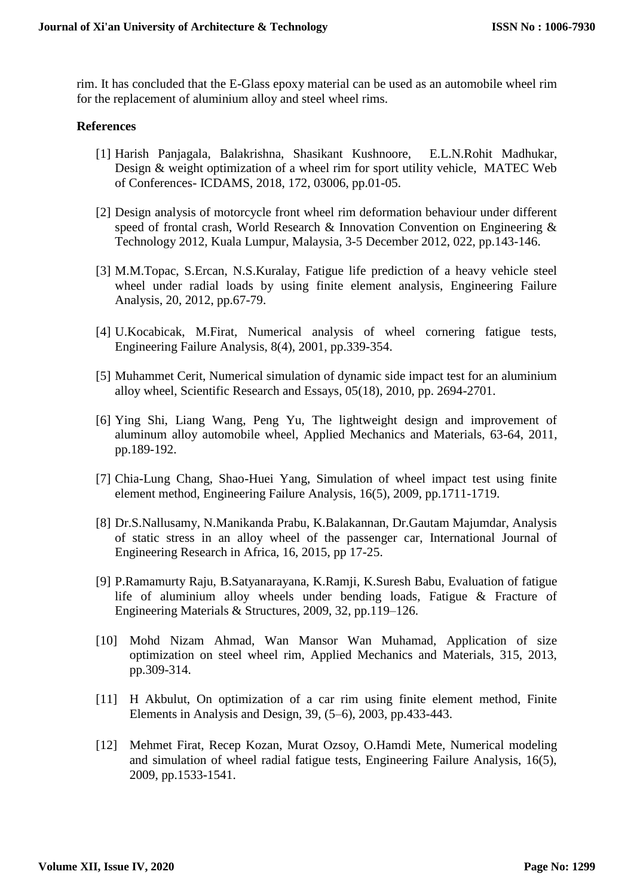rim. It has concluded that the E-Glass epoxy material can be used as an automobile wheel rim for the replacement of aluminium alloy and steel wheel rims.

#### **References**

- [1] Harish Panjagala, Balakrishna, Shasikant Kushnoore, E.L.N.Rohit Madhukar, Design & weight optimization of a wheel rim for sport utility vehicle, MATEC Web of Conferences- ICDAMS, 2018, 172, 03006, pp.01-05.
- [2] Design analysis of motorcycle front wheel rim deformation behaviour under different speed of frontal crash, World Research & Innovation Convention on Engineering & Technology 2012, Kuala Lumpur, Malaysia, 3-5 December 2012, 022, pp.143-146.
- [3] M.M.Topac, S.Ercan, N.S.Kuralay, Fatigue life prediction of a heavy vehicle steel wheel under radial loads by using finite element analysis, Engineering Failure Analysis, 20, 2012, pp.67-79.
- [4] U.Kocabicak, M.Firat, Numerical analysis of wheel cornering fatigue tests, Engineering Failure Analysis, 8(4), 2001, pp.339-354.
- [5] Muhammet Cerit, Numerical simulation of dynamic side impact test for an aluminium alloy wheel, Scientific Research and Essays, 05(18), 2010, pp. 2694-2701.
- [6] Ying Shi, Liang Wang, Peng Yu, The lightweight design and improvement of aluminum alloy automobile wheel, Applied Mechanics and Materials, 63-64, 2011, pp.189-192.
- [7] Chia-Lung Chang, Shao-Huei Yang, Simulation of wheel impact test using finite element method, Engineering Failure Analysis, 16(5), 2009, pp.1711-1719.
- [8] Dr.S.Nallusamy, N.Manikanda Prabu, K.Balakannan, Dr.Gautam Majumdar, Analysis of static stress in an alloy wheel of the passenger car, International Journal of Engineering Research in Africa, 16, 2015, pp 17-25.
- [9] P.Ramamurty Raju, B.Satyanarayana, K.Ramji, K.Suresh Babu, Evaluation of fatigue life of aluminium alloy wheels under bending loads, Fatigue & Fracture of Engineering Materials & Structures, 2009, 32, pp.119–126.
- [10] Mohd Nizam Ahmad, Wan Mansor Wan Muhamad, Application of size optimization on steel wheel rim, Applied Mechanics and Materials, 315, 2013, pp.309-314.
- [11] H Akbulut, On optimization of a car rim using finite element method, Finite Elements in Analysis and Design, 39, (5–6), 2003, pp.433-443.
- [12] Mehmet Firat, Recep Kozan, Murat Ozsoy, O.Hamdi Mete, Numerical modeling and simulation of wheel radial fatigue tests, Engineering Failure Analysis, 16(5), 2009, pp.1533-1541.